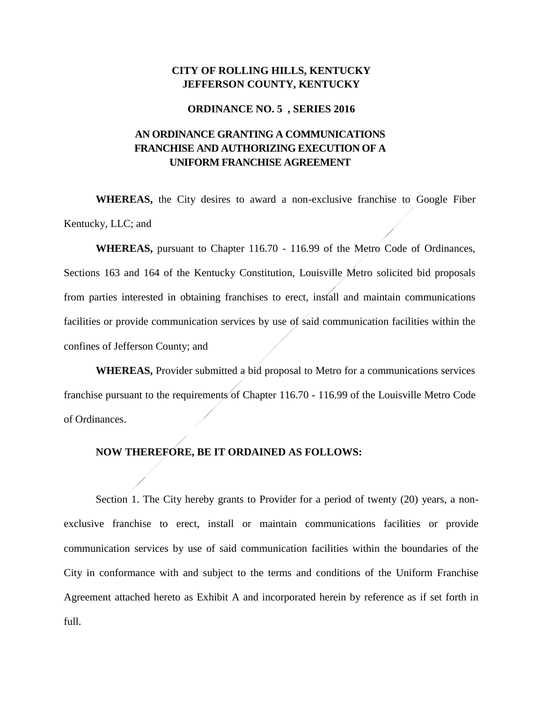### **CITY OF ROLLING HILLS, KENTUCKY JEFFERSON COUNTY, KENTUCKY**

#### **ORDINANCE NO. 5 , SERIES 2016**

# **AN ORDINANCE GRANTING A COMMUNICATIONS FRANCHISE AND AUTHORIZING EXECUTION OF A UNIFORM FRANCHISE AGREEMENT**

**WHEREAS,** the City desires to award a non-exclusive franchise to Google Fiber Kentucky, LLC; and

**WHEREAS,** pursuant to Chapter 116.70 - 116.99 of the Metro Code of Ordinances, Sections 163 and 164 of the Kentucky Constitution, Louisville Metro solicited bid proposals from parties interested in obtaining franchises to erect, install and maintain communications facilities or provide communication services by use of said communication facilities within the confines of Jefferson County; and

**WHEREAS,** Provider submitted a bid proposal to Metro for a communications services franchise pursuant to the requirements of Chapter 116.70 - 116.99 of the Louisville Metro Code of Ordinances.

### **NOW THEREFORE, BE IT ORDAINED AS FOLLOWS:**

Section 1. The City hereby grants to Provider for a period of twenty (20) years, a nonexclusive franchise to erect, install or maintain communications facilities or provide communication services by use of said communication facilities within the boundaries of the City in conformance with and subject to the terms and conditions of the Uniform Franchise Agreement attached hereto as Exhibit A and incorporated herein by reference as if set forth in full.